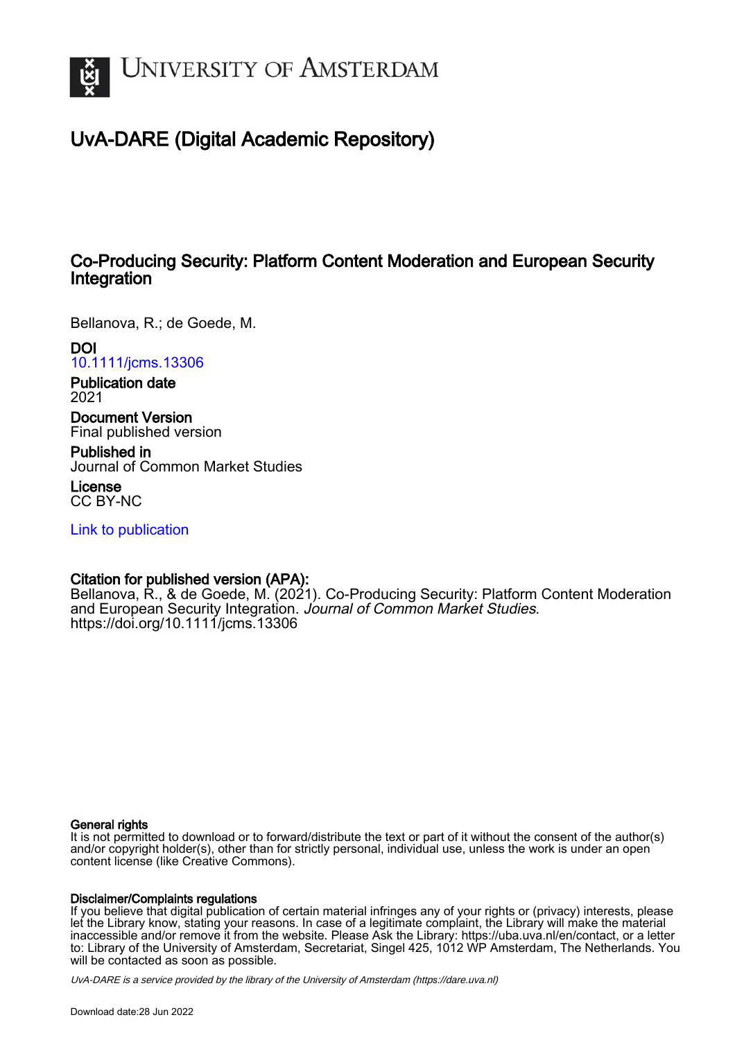

## UvA-DARE (Digital Academic Repository)

## Co-Producing Security: Platform Content Moderation and European Security Integration

Bellanova, R.; de Goede, M.

DOI [10.1111/jcms.13306](https://doi.org/10.1111/jcms.13306)

Publication date 2021

Document Version Final published version

Published in Journal of Common Market Studies

License CC BY-NC

[Link to publication](https://dare.uva.nl/personal/pure/en/publications/coproducing-security-platform-content-moderation-and-european-security-integration(f9cf5e79-c143-4d2b-bf07-6bcdac75254f).html)

## Citation for published version (APA):

Bellanova, R., & de Goede, M. (2021). Co-Producing Security: Platform Content Moderation and European Security Integration. Journal of Common Market Studies. <https://doi.org/10.1111/jcms.13306>

#### General rights

It is not permitted to download or to forward/distribute the text or part of it without the consent of the author(s) and/or copyright holder(s), other than for strictly personal, individual use, unless the work is under an open content license (like Creative Commons).

## Disclaimer/Complaints regulations

If you believe that digital publication of certain material infringes any of your rights or (privacy) interests, please let the Library know, stating your reasons. In case of a legitimate complaint, the Library will make the material inaccessible and/or remove it from the website. Please Ask the Library: https://uba.uva.nl/en/contact, or a letter to: Library of the University of Amsterdam, Secretariat, Singel 425, 1012 WP Amsterdam, The Netherlands. You will be contacted as soon as possible.

UvA-DARE is a service provided by the library of the University of Amsterdam (http*s*://dare.uva.nl)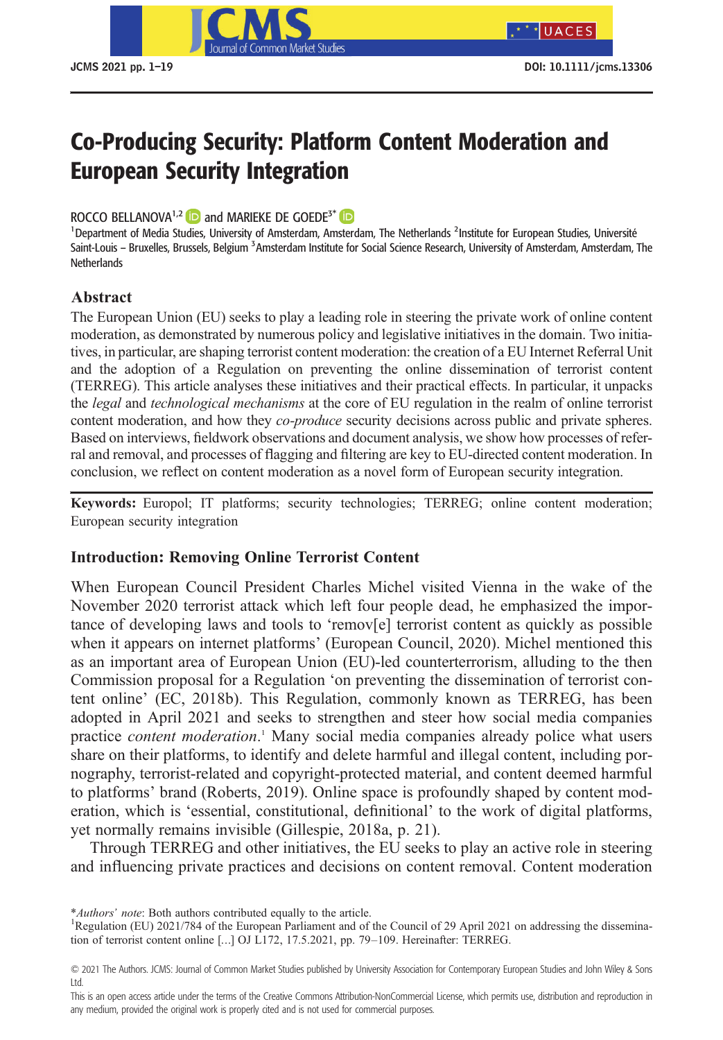

\*UACES

# Co-Producing Security: Platform Content Moderation and European Security Integration

## ROCCO BELLANOVA<sup>1,2</sup> **iD** and MARIEKE DE GOEDE<sup>3\*</sup> **iD**

<sup>1</sup> Department of Media Studies, University of Amsterdam, Amsterdam, The Netherlands <sup>2</sup>Institute for European Studies, Université Saint-Louis – Bruxelles, Brussels, Belgium <sup>3</sup>Amsterdam Institute for Social Science Research, University of Amsterdam, Amsterdam, The **Netherlands** 

## **Abstract**

The European Union (EU) seeks to play a leading role in steering the private work of online content moderation, as demonstrated by numerous policy and legislative initiatives in the domain. Two initiatives, in particular, are shaping terrorist content moderation: the creation of a EU Internet Referral Unit and the adoption of a Regulation on preventing the online dissemination of terrorist content (TERREG). This article analyses these initiatives and their practical effects. In particular, it unpacks the *legal* and *technological mechanisms* at the core of EU regulation in the realm of online terrorist content moderation, and how they *co-produce* security decisions across public and private spheres. Based on interviews, fieldwork observations and document analysis, we show how processes of referral and removal, and processes of flagging and filtering are key to EU-directed content moderation. In conclusion, we reflect on content moderation as a novel form of European security integration.

**Keywords:** Europol; IT platforms; security technologies; TERREG; online content moderation; European security integration

## **Introduction: Removing Online Terrorist Content**

When European Council President Charles Michel visited Vienna in the wake of the November 2020 terrorist attack which left four people dead, he emphasized the importance of developing laws and tools to 'remov[e] terrorist content as quickly as possible when it appears on internet platforms' (European Council, 2020). Michel mentioned this as an important area of European Union (EU)-led counterterrorism, alluding to the then Commission proposal for a Regulation 'on preventing the dissemination of terrorist content online' (EC, 2018b). This Regulation, commonly known as TERREG, has been adopted in April 2021 and seeks to strengthen and steer how social media companies practice *content moderation*. <sup>1</sup> Many social media companies already police what users share on their platforms, to identify and delete harmful and illegal content, including pornography, terrorist-related and copyright-protected material, and content deemed harmful to platforms' brand (Roberts, 2019). Online space is profoundly shaped by content moderation, which is 'essential, constitutional, definitional' to the work of digital platforms, yet normally remains invisible (Gillespie, 2018a, p. 21).

Through TERREG and other initiatives, the EU seeks to play an active role in steering and influencing private practices and decisions on content removal. Content moderation

\**Authors' note*: Both authors contributed equally to the article. <sup>1</sup>

<sup>&</sup>lt;sup>1</sup>Regulation (EU) 2021/784 of the European Parliament and of the Council of 29 April 2021 on addressing the dissemination of terrorist content online […] OJ L172, 17.5.2021, pp. 79–109. Hereinafter: TERREG.

<sup>© 2021</sup> The Authors. JCMS: Journal of Common Market Studies published by University Association for Contemporary European Studies and John Wiley & Sons Ltd.

This is an open access article under the terms of the [Creative Commons Attribution-NonCommercial](http://creativecommons.org/licenses/by-nc/4.0/) License, which permits use, distribution and reproduction in any medium, provided the original work is properly cited and is not used for commercial purposes.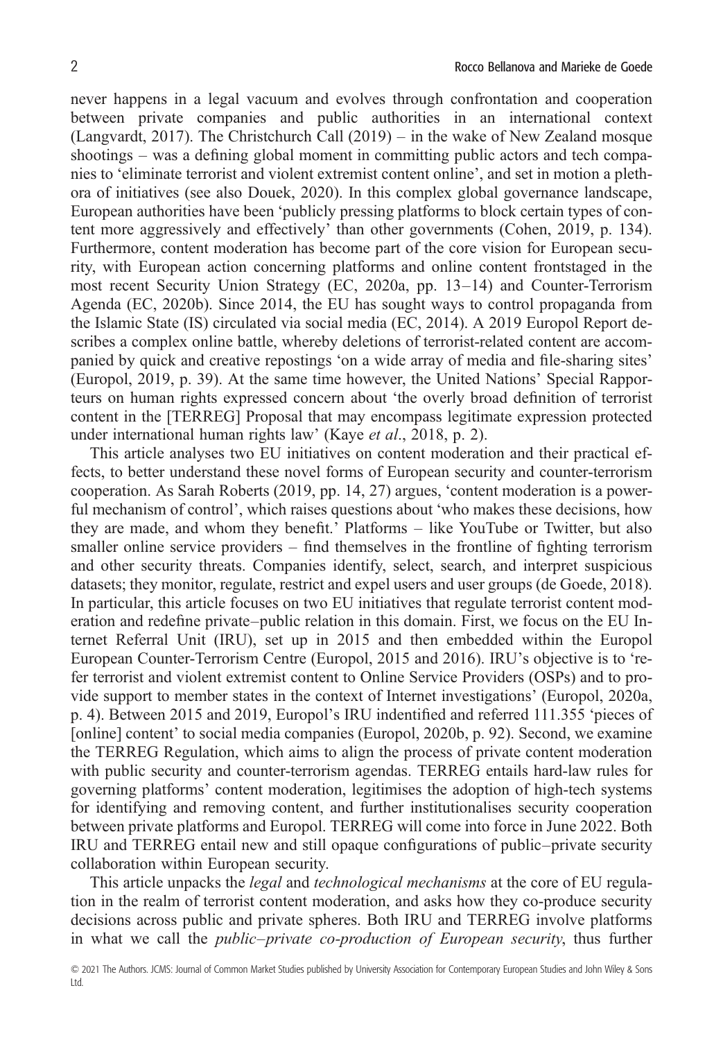never happens in a legal vacuum and evolves through confrontation and cooperation between private companies and public authorities in an international context (Langvardt, 2017). The Christchurch Call (2019) – in the wake of New Zealand mosque shootings – was a defining global moment in committing public actors and tech companies to 'eliminate terrorist and violent extremist content online', and set in motion a plethora of initiatives (see also Douek, 2020). In this complex global governance landscape, European authorities have been 'publicly pressing platforms to block certain types of content more aggressively and effectively' than other governments (Cohen, 2019, p. 134). Furthermore, content moderation has become part of the core vision for European security, with European action concerning platforms and online content frontstaged in the most recent Security Union Strategy (EC, 2020a, pp. 13–14) and Counter-Terrorism Agenda (EC, 2020b). Since 2014, the EU has sought ways to control propaganda from the Islamic State (IS) circulated via social media (EC, 2014). A 2019 Europol Report describes a complex online battle, whereby deletions of terrorist-related content are accompanied by quick and creative repostings 'on a wide array of media and file-sharing sites' (Europol, 2019, p. 39). At the same time however, the United Nations' Special Rapporteurs on human rights expressed concern about 'the overly broad definition of terrorist content in the [TERREG] Proposal that may encompass legitimate expression protected under international human rights law' (Kaye *et al*., 2018, p. 2).

This article analyses two EU initiatives on content moderation and their practical effects, to better understand these novel forms of European security and counter-terrorism cooperation. As Sarah Roberts (2019, pp. 14, 27) argues, 'content moderation is a powerful mechanism of control', which raises questions about 'who makes these decisions, how they are made, and whom they benefit.' Platforms – like YouTube or Twitter, but also smaller online service providers – find themselves in the frontline of fighting terrorism and other security threats. Companies identify, select, search, and interpret suspicious datasets; they monitor, regulate, restrict and expel users and user groups (de Goede, 2018). In particular, this article focuses on two EU initiatives that regulate terrorist content moderation and redefine private–public relation in this domain. First, we focus on the EU Internet Referral Unit (IRU), set up in 2015 and then embedded within the Europol European Counter-Terrorism Centre (Europol, 2015 and 2016). IRU's objective is to 'refer terrorist and violent extremist content to Online Service Providers (OSPs) and to provide support to member states in the context of Internet investigations' (Europol, 2020a, p. 4). Between 2015 and 2019, Europol's IRU indentified and referred 111.355 'pieces of [online] content' to social media companies (Europol, 2020b, p. 92). Second, we examine the TERREG Regulation, which aims to align the process of private content moderation with public security and counter-terrorism agendas. TERREG entails hard-law rules for governing platforms' content moderation, legitimises the adoption of high-tech systems for identifying and removing content, and further institutionalises security cooperation between private platforms and Europol. TERREG will come into force in June 2022. Both IRU and TERREG entail new and still opaque configurations of public–private security collaboration within European security.

This article unpacks the *legal* and *technological mechanisms* at the core of EU regulation in the realm of terrorist content moderation, and asks how they co-produce security decisions across public and private spheres. Both IRU and TERREG involve platforms in what we call the *public*–*private co-production of European security*, thus further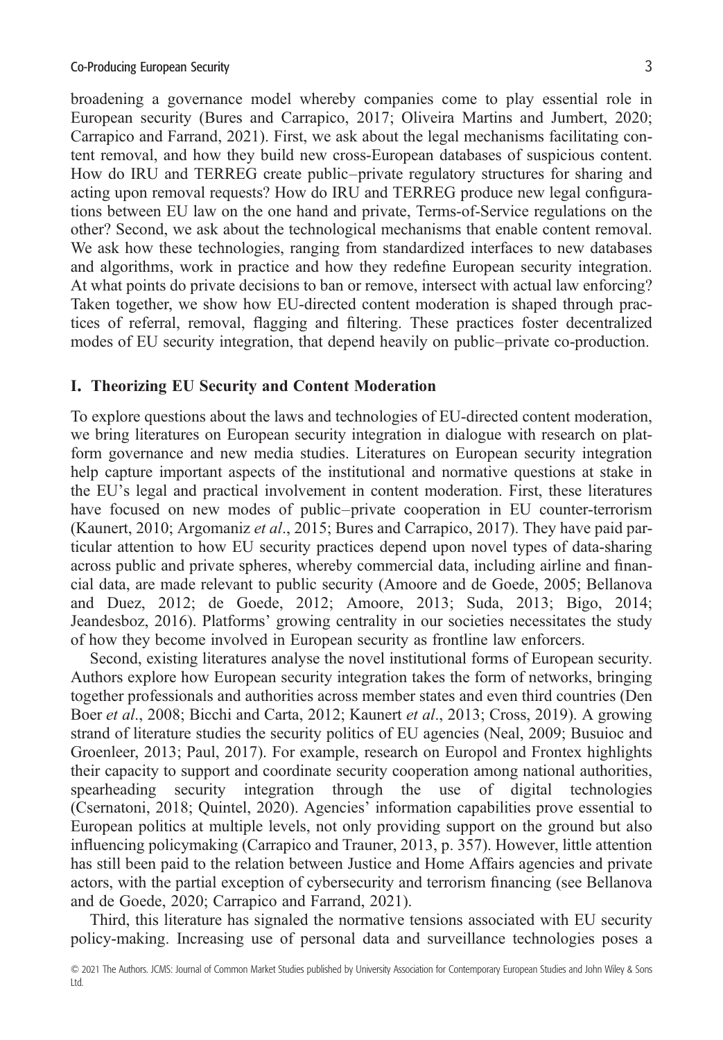broadening a governance model whereby companies come to play essential role in European security (Bures and Carrapico, 2017; Oliveira Martins and Jumbert, 2020; Carrapico and Farrand, 2021). First, we ask about the legal mechanisms facilitating content removal, and how they build new cross-European databases of suspicious content. How do IRU and TERREG create public–private regulatory structures for sharing and acting upon removal requests? How do IRU and TERREG produce new legal configurations between EU law on the one hand and private, Terms-of-Service regulations on the other? Second, we ask about the technological mechanisms that enable content removal. We ask how these technologies, ranging from standardized interfaces to new databases and algorithms, work in practice and how they redefine European security integration. At what points do private decisions to ban or remove, intersect with actual law enforcing? Taken together, we show how EU-directed content moderation is shaped through practices of referral, removal, flagging and filtering. These practices foster decentralized modes of EU security integration, that depend heavily on public–private co-production.

#### **I. Theorizing EU Security and Content Moderation**

To explore questions about the laws and technologies of EU-directed content moderation, we bring literatures on European security integration in dialogue with research on platform governance and new media studies. Literatures on European security integration help capture important aspects of the institutional and normative questions at stake in the EU's legal and practical involvement in content moderation. First, these literatures have focused on new modes of public–private cooperation in EU counter-terrorism (Kaunert, 2010; Argomaniz *et al*., 2015; Bures and Carrapico, 2017). They have paid particular attention to how EU security practices depend upon novel types of data-sharing across public and private spheres, whereby commercial data, including airline and financial data, are made relevant to public security (Amoore and de Goede, 2005; Bellanova and Duez, 2012; de Goede, 2012; Amoore, 2013; Suda, 2013; Bigo, 2014; Jeandesboz, 2016). Platforms' growing centrality in our societies necessitates the study of how they become involved in European security as frontline law enforcers.

Second, existing literatures analyse the novel institutional forms of European security. Authors explore how European security integration takes the form of networks, bringing together professionals and authorities across member states and even third countries (Den Boer *et al*., 2008; Bicchi and Carta, 2012; Kaunert *et al*., 2013; Cross, 2019). A growing strand of literature studies the security politics of EU agencies (Neal, 2009; Busuioc and Groenleer, 2013; Paul, 2017). For example, research on Europol and Frontex highlights their capacity to support and coordinate security cooperation among national authorities, spearheading security integration through the use of digital technologies (Csernatoni, 2018; Quintel, 2020). Agencies' information capabilities prove essential to European politics at multiple levels, not only providing support on the ground but also influencing policymaking (Carrapico and Trauner, 2013, p. 357). However, little attention has still been paid to the relation between Justice and Home Affairs agencies and private actors, with the partial exception of cybersecurity and terrorism financing (see Bellanova and de Goede, 2020; Carrapico and Farrand, 2021).

Third, this literature has signaled the normative tensions associated with EU security policy-making. Increasing use of personal data and surveillance technologies poses a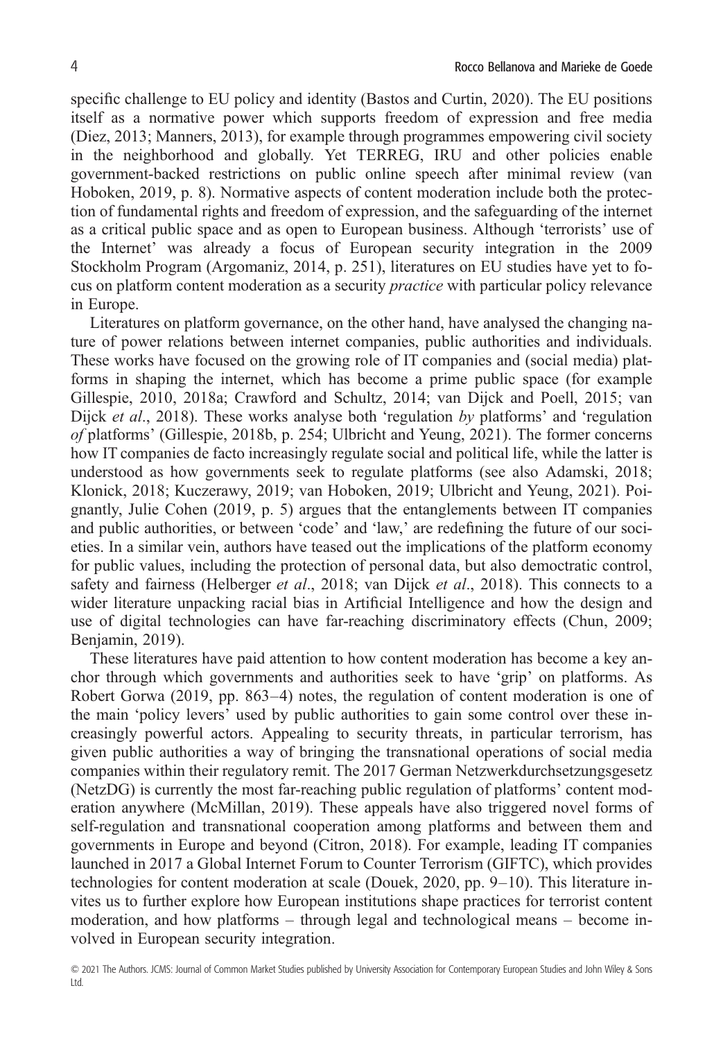specific challenge to EU policy and identity (Bastos and Curtin, 2020). The EU positions itself as a normative power which supports freedom of expression and free media (Diez, 2013; Manners, 2013), for example through programmes empowering civil society in the neighborhood and globally. Yet TERREG, IRU and other policies enable government-backed restrictions on public online speech after minimal review (van Hoboken, 2019, p. 8). Normative aspects of content moderation include both the protection of fundamental rights and freedom of expression, and the safeguarding of the internet as a critical public space and as open to European business. Although 'terrorists' use of the Internet' was already a focus of European security integration in the 2009 Stockholm Program (Argomaniz, 2014, p. 251), literatures on EU studies have yet to focus on platform content moderation as a security *practice* with particular policy relevance in Europe.

Literatures on platform governance, on the other hand, have analysed the changing nature of power relations between internet companies, public authorities and individuals. These works have focused on the growing role of IT companies and (social media) platforms in shaping the internet, which has become a prime public space (for example Gillespie, 2010, 2018a; Crawford and Schultz, 2014; van Dijck and Poell, 2015; van Dijck *et al*., 2018). These works analyse both 'regulation *by* platforms' and 'regulation *of* platforms' (Gillespie, 2018b, p. 254; Ulbricht and Yeung, 2021). The former concerns how IT companies de facto increasingly regulate social and political life, while the latter is understood as how governments seek to regulate platforms (see also Adamski, 2018; Klonick, 2018; Kuczerawy, 2019; van Hoboken, 2019; Ulbricht and Yeung, 2021). Poignantly, Julie Cohen (2019, p. 5) argues that the entanglements between IT companies and public authorities, or between 'code' and 'law,' are redefining the future of our societies. In a similar vein, authors have teased out the implications of the platform economy for public values, including the protection of personal data, but also democtratic control, safety and fairness (Helberger *et al*., 2018; van Dijck *et al*., 2018). This connects to a wider literature unpacking racial bias in Artificial Intelligence and how the design and use of digital technologies can have far-reaching discriminatory effects (Chun, 2009; Benjamin, 2019).

These literatures have paid attention to how content moderation has become a key anchor through which governments and authorities seek to have 'grip' on platforms. As Robert Gorwa (2019, pp. 863–4) notes, the regulation of content moderation is one of the main 'policy levers' used by public authorities to gain some control over these increasingly powerful actors. Appealing to security threats, in particular terrorism, has given public authorities a way of bringing the transnational operations of social media companies within their regulatory remit. The 2017 German Netzwerkdurchsetzungsgesetz (NetzDG) is currently the most far-reaching public regulation of platforms' content moderation anywhere (McMillan, 2019). These appeals have also triggered novel forms of self-regulation and transnational cooperation among platforms and between them and governments in Europe and beyond (Citron, 2018). For example, leading IT companies launched in 2017 a Global Internet Forum to Counter Terrorism (GIFTC), which provides technologies for content moderation at scale (Douek, 2020, pp. 9–10). This literature invites us to further explore how European institutions shape practices for terrorist content moderation, and how platforms – through legal and technological means – become involved in European security integration.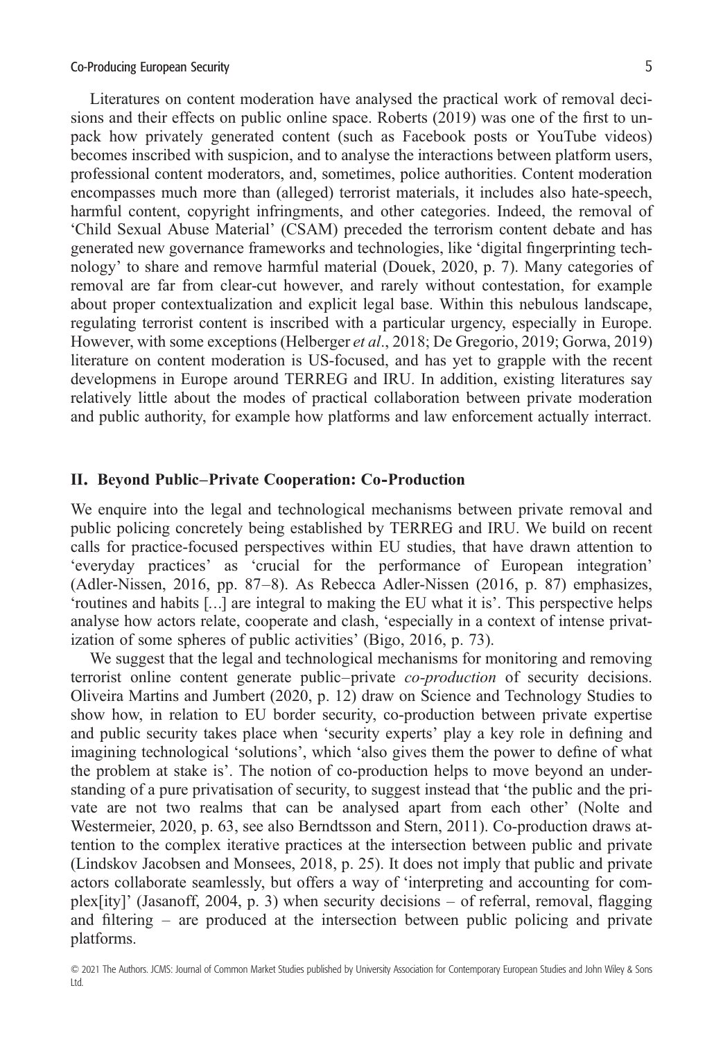Literatures on content moderation have analysed the practical work of removal decisions and their effects on public online space. Roberts (2019) was one of the first to unpack how privately generated content (such as Facebook posts or YouTube videos) becomes inscribed with suspicion, and to analyse the interactions between platform users, professional content moderators, and, sometimes, police authorities. Content moderation encompasses much more than (alleged) terrorist materials, it includes also hate-speech, harmful content, copyright infringments, and other categories. Indeed, the removal of 'Child Sexual Abuse Material' (CSAM) preceded the terrorism content debate and has generated new governance frameworks and technologies, like 'digital fingerprinting technology' to share and remove harmful material (Douek, 2020, p. 7). Many categories of removal are far from clear-cut however, and rarely without contestation, for example about proper contextualization and explicit legal base. Within this nebulous landscape, regulating terrorist content is inscribed with a particular urgency, especially in Europe. However, with some exceptions (Helberger *et al*., 2018; De Gregorio, 2019; Gorwa, 2019) literature on content moderation is US-focused, and has yet to grapple with the recent developmens in Europe around TERREG and IRU. In addition, existing literatures say relatively little about the modes of practical collaboration between private moderation and public authority, for example how platforms and law enforcement actually interract.

#### **II. Beyond Public–Private Cooperation: Co-Production**

We enquire into the legal and technological mechanisms between private removal and public policing concretely being established by TERREG and IRU. We build on recent calls for practice-focused perspectives within EU studies, that have drawn attention to 'everyday practices' as 'crucial for the performance of European integration' (Adler-Nissen, 2016, pp. 87–8). As Rebecca Adler-Nissen (2016, p. 87) emphasizes, 'routines and habits […] are integral to making the EU what it is'. This perspective helps analyse how actors relate, cooperate and clash, 'especially in a context of intense privatization of some spheres of public activities' (Bigo, 2016, p. 73).

We suggest that the legal and technological mechanisms for monitoring and removing terrorist online content generate public–private *co-production* of security decisions. Oliveira Martins and Jumbert (2020, p. 12) draw on Science and Technology Studies to show how, in relation to EU border security, co-production between private expertise and public security takes place when 'security experts' play a key role in defining and imagining technological 'solutions', which 'also gives them the power to define of what the problem at stake is'. The notion of co-production helps to move beyond an understanding of a pure privatisation of security, to suggest instead that 'the public and the private are not two realms that can be analysed apart from each other' (Nolte and Westermeier, 2020, p. 63, see also Berndtsson and Stern, 2011). Co-production draws attention to the complex iterative practices at the intersection between public and private (Lindskov Jacobsen and Monsees, 2018, p. 25). It does not imply that public and private actors collaborate seamlessly, but offers a way of 'interpreting and accounting for complex[ity]' (Jasanoff, 2004, p. 3) when security decisions – of referral, removal, flagging and filtering – are produced at the intersection between public policing and private platforms.

<sup>© 2021</sup> The Authors. JCMS: Journal of Common Market Studies published by University Association for Contemporary European Studies and John Wiley & Sons Ltd.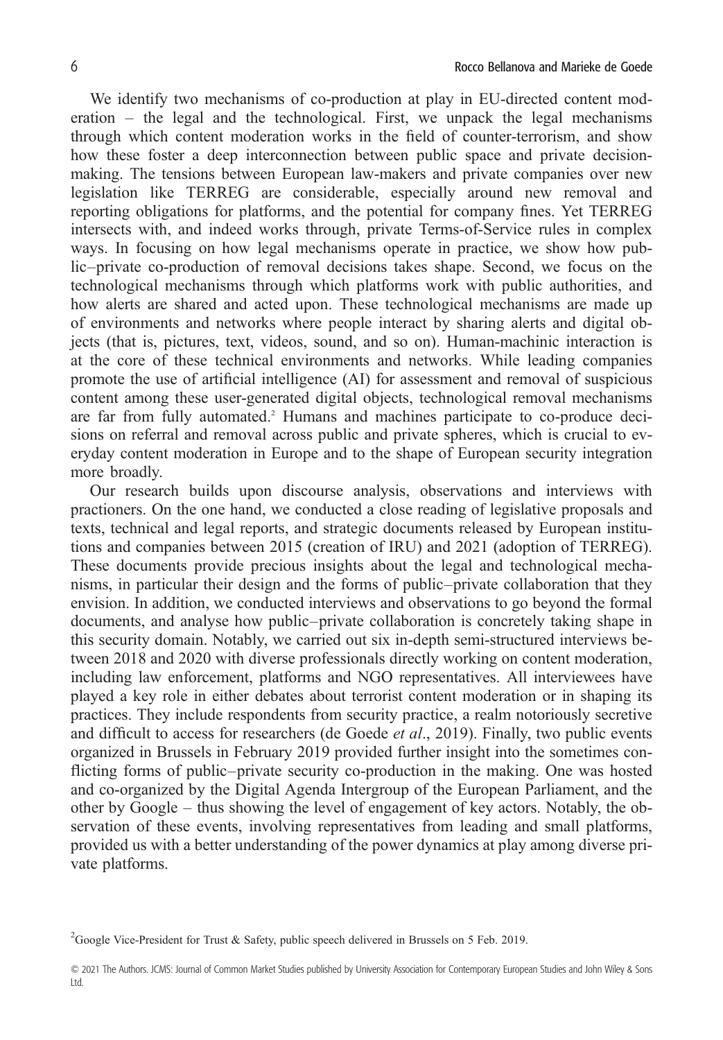We identify two mechanisms of co-production at play in EU-directed content moderation – the legal and the technological. First, we unpack the legal mechanisms through which content moderation works in the field of counter-terrorism, and show how these foster a deep interconnection between public space and private decisionmaking. The tensions between European law-makers and private companies over new legislation like TERREG are considerable, especially around new removal and reporting obligations for platforms, and the potential for company fines. Yet TERREG intersects with, and indeed works through, private Terms-of-Service rules in complex ways. In focusing on how legal mechanisms operate in practice, we show how public–private co-production of removal decisions takes shape. Second, we focus on the technological mechanisms through which platforms work with public authorities, and how alerts are shared and acted upon. These technological mechanisms are made up of environments and networks where people interact by sharing alerts and digital objects (that is, pictures, text, videos, sound, and so on). Human-machinic interaction is at the core of these technical environments and networks. While leading companies promote the use of artificial intelligence (AI) for assessment and removal of suspicious content among these user-generated digital objects, technological removal mechanisms are far from fully automated.<sup>2</sup> Humans and machines participate to co-produce decisions on referral and removal across public and private spheres, which is crucial to everyday content moderation in Europe and to the shape of European security integration more broadly.

Our research builds upon discourse analysis, observations and interviews with practioners. On the one hand, we conducted a close reading of legislative proposals and texts, technical and legal reports, and strategic documents released by European institutions and companies between 2015 (creation of IRU) and 2021 (adoption of TERREG). These documents provide precious insights about the legal and technological mechanisms, in particular their design and the forms of public–private collaboration that they envision. In addition, we conducted interviews and observations to go beyond the formal documents, and analyse how public–private collaboration is concretely taking shape in this security domain. Notably, we carried out six in-depth semi-structured interviews between 2018 and 2020 with diverse professionals directly working on content moderation, including law enforcement, platforms and NGO representatives. All interviewees have played a key role in either debates about terrorist content moderation or in shaping its practices. They include respondents from security practice, a realm notoriously secretive and difficult to access for researchers (de Goede *et al*., 2019). Finally, two public events organized in Brussels in February 2019 provided further insight into the sometimes conflicting forms of public–private security co-production in the making. One was hosted and co-organized by the Digital Agenda Intergroup of the European Parliament, and the other by Google – thus showing the level of engagement of key actors. Notably, the observation of these events, involving representatives from leading and small platforms, provided us with a better understanding of the power dynamics at play among diverse private platforms.

<sup>&</sup>lt;sup>2</sup>Google Vice-President for Trust & Safety, public speech delivered in Brussels on 5 Feb. 2019.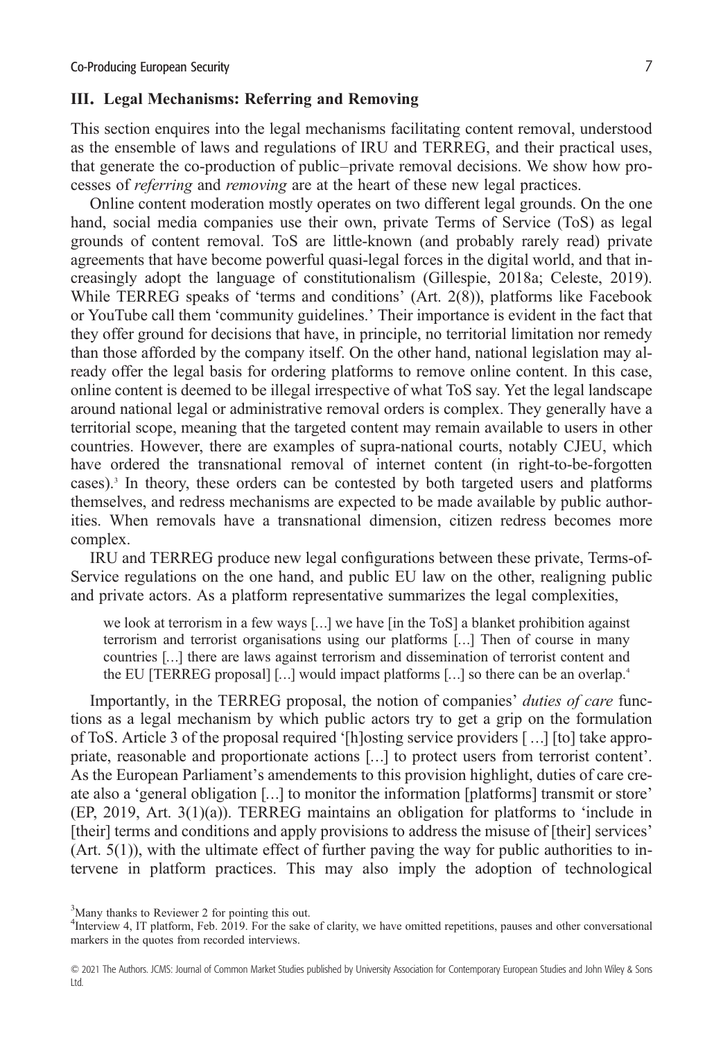#### **III. Legal Mechanisms: Referring and Removing**

This section enquires into the legal mechanisms facilitating content removal, understood as the ensemble of laws and regulations of IRU and TERREG, and their practical uses, that generate the co-production of public–private removal decisions. We show how processes of *referring* and *removing* are at the heart of these new legal practices.

Online content moderation mostly operates on two different legal grounds. On the one hand, social media companies use their own, private Terms of Service (ToS) as legal grounds of content removal. ToS are little-known (and probably rarely read) private agreements that have become powerful quasi-legal forces in the digital world, and that increasingly adopt the language of constitutionalism (Gillespie, 2018a; Celeste, 2019). While TERREG speaks of 'terms and conditions' (Art. 2(8)), platforms like Facebook or YouTube call them 'community guidelines.' Their importance is evident in the fact that they offer ground for decisions that have, in principle, no territorial limitation nor remedy than those afforded by the company itself. On the other hand, national legislation may already offer the legal basis for ordering platforms to remove online content. In this case, online content is deemed to be illegal irrespective of what ToS say. Yet the legal landscape around national legal or administrative removal orders is complex. They generally have a territorial scope, meaning that the targeted content may remain available to users in other countries. However, there are examples of supra-national courts, notably CJEU, which have ordered the transnational removal of internet content (in right-to-be-forgotten cases).3 In theory, these orders can be contested by both targeted users and platforms themselves, and redress mechanisms are expected to be made available by public authorities. When removals have a transnational dimension, citizen redress becomes more complex.

IRU and TERREG produce new legal configurations between these private, Terms-of-Service regulations on the one hand, and public EU law on the other, realigning public and private actors. As a platform representative summarizes the legal complexities,

we look at terrorism in a few ways […] we have [in the ToS] a blanket prohibition against terrorism and terrorist organisations using our platforms […] Then of course in many countries […] there are laws against terrorism and dissemination of terrorist content and the EU [TERREG proposal] [...] would impact platforms [...] so there can be an overlap.<sup>4</sup>

Importantly, in the TERREG proposal, the notion of companies' *duties of care* functions as a legal mechanism by which public actors try to get a grip on the formulation of ToS. Article 3 of the proposal required '[h]osting service providers [ …] [to] take appropriate, reasonable and proportionate actions […] to protect users from terrorist content'. As the European Parliament's amendements to this provision highlight, duties of care create also a 'general obligation […] to monitor the information [platforms] transmit or store' (EP, 2019, Art. 3(1)(a)). TERREG maintains an obligation for platforms to 'include in [their] terms and conditions and apply provisions to address the misuse of [their] services'  $(Art. 5(1))$ , with the ultimate effect of further paving the way for public authorities to intervene in platform practices. This may also imply the adoption of technological

<sup>&</sup>lt;sup>3</sup>Many thanks to Reviewer 2 for pointing this out.

<sup>&</sup>lt;sup>4</sup>Interview 4, IT platform, Feb. 2019. For the sake of clarity, we have omitted repetitions, pauses and other conversational markers in the quotes from recorded interviews.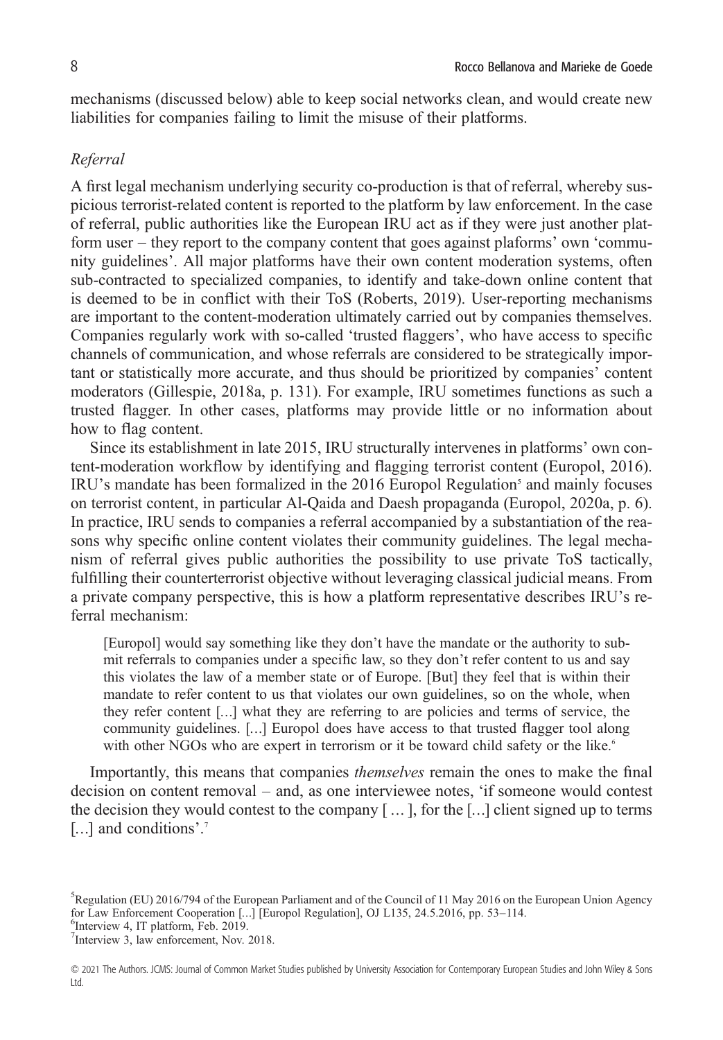mechanisms (discussed below) able to keep social networks clean, and would create new liabilities for companies failing to limit the misuse of their platforms.

#### *Referral*

A first legal mechanism underlying security co-production is that of referral, whereby suspicious terrorist-related content is reported to the platform by law enforcement. In the case of referral, public authorities like the European IRU act as if they were just another platform user – they report to the company content that goes against plaforms' own 'community guidelines'. All major platforms have their own content moderation systems, often sub-contracted to specialized companies, to identify and take-down online content that is deemed to be in conflict with their ToS (Roberts, 2019). User-reporting mechanisms are important to the content-moderation ultimately carried out by companies themselves. Companies regularly work with so-called 'trusted flaggers', who have access to specific channels of communication, and whose referrals are considered to be strategically important or statistically more accurate, and thus should be prioritized by companies' content moderators (Gillespie, 2018a, p. 131). For example, IRU sometimes functions as such a trusted flagger. In other cases, platforms may provide little or no information about how to flag content.

Since its establishment in late 2015, IRU structurally intervenes in platforms' own content-moderation workflow by identifying and flagging terrorist content (Europol, 2016).  $IRU$ 's mandate has been formalized in the 2016 Europol Regulation<sup>5</sup> and mainly focuses on terrorist content, in particular Al-Qaida and Daesh propaganda (Europol, 2020a, p. 6). In practice, IRU sends to companies a referral accompanied by a substantiation of the reasons why specific online content violates their community guidelines. The legal mechanism of referral gives public authorities the possibility to use private ToS tactically, fulfilling their counterterrorist objective without leveraging classical judicial means. From a private company perspective, this is how a platform representative describes IRU's referral mechanism:

[Europol] would say something like they don't have the mandate or the authority to submit referrals to companies under a specific law, so they don't refer content to us and say this violates the law of a member state or of Europe. [But] they feel that is within their mandate to refer content to us that violates our own guidelines, so on the whole, when they refer content […] what they are referring to are policies and terms of service, the community guidelines. […] Europol does have access to that trusted flagger tool along with other NGOs who are expert in terrorism or it be toward child safety or the like.<sup>6</sup>

Importantly, this means that companies *themselves* remain the ones to make the final decision on content removal – and, as one interviewee notes, 'if someone would contest the decision they would contest to the company  $[\,\dots\,]$ , for the  $[\dots]$  client signed up to terms [...] and conditions'.<sup>7</sup>

 $<sup>6</sup>$ Interview 4, IT platform, Feb. 2019.</sup>

<sup>&</sup>lt;sup>5</sup>Regulation (EU) 2016/794 of the European Parliament and of the Council of 11 May 2016 on the European Union Agency for Law Enforcement Cooperation [...] [Europol Regulation], OJ L135, 24.5.2016, pp. 53-114.

<sup>&</sup>lt;sup>7</sup>Interview 3, law enforcement, Nov. 2018.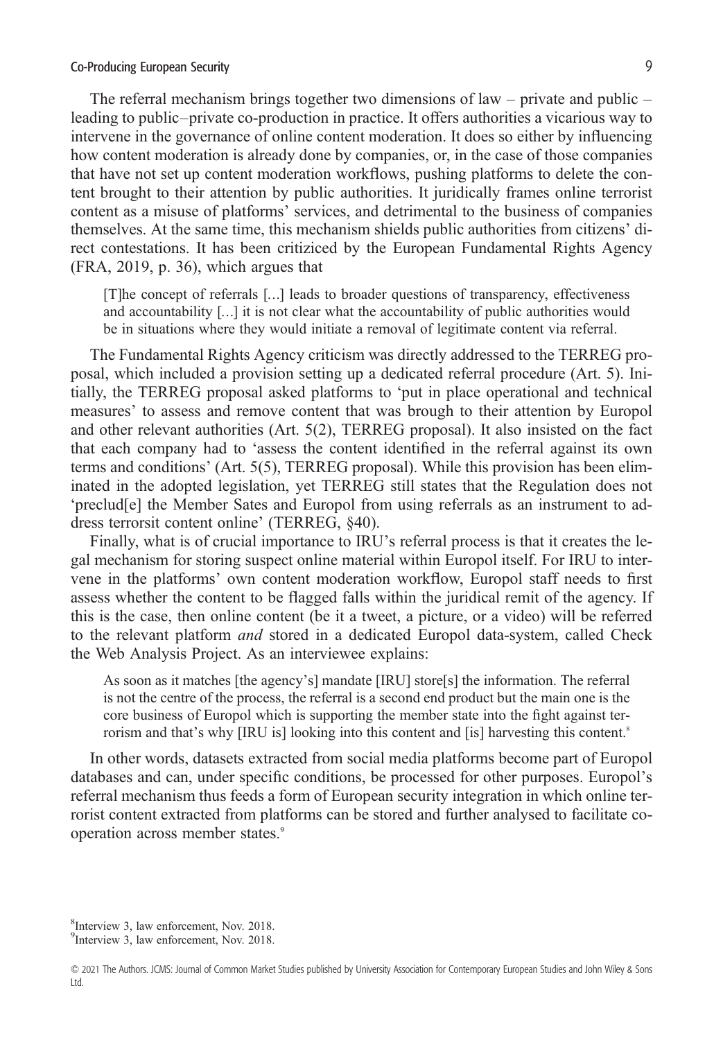#### Co-Producing European Security 9

The referral mechanism brings together two dimensions of law – private and public – leading to public–private co-production in practice. It offers authorities a vicarious way to intervene in the governance of online content moderation. It does so either by influencing how content moderation is already done by companies, or, in the case of those companies that have not set up content moderation workflows, pushing platforms to delete the content brought to their attention by public authorities. It juridically frames online terrorist content as a misuse of platforms' services, and detrimental to the business of companies themselves. At the same time, this mechanism shields public authorities from citizens' direct contestations. It has been critiziced by the European Fundamental Rights Agency (FRA, 2019, p. 36), which argues that

[T]he concept of referrals […] leads to broader questions of transparency, effectiveness and accountability […] it is not clear what the accountability of public authorities would be in situations where they would initiate a removal of legitimate content via referral.

The Fundamental Rights Agency criticism was directly addressed to the TERREG proposal, which included a provision setting up a dedicated referral procedure (Art. 5). Initially, the TERREG proposal asked platforms to 'put in place operational and technical measures' to assess and remove content that was brough to their attention by Europol and other relevant authorities (Art. 5(2), TERREG proposal). It also insisted on the fact that each company had to 'assess the content identified in the referral against its own terms and conditions' (Art. 5(5), TERREG proposal). While this provision has been eliminated in the adopted legislation, yet TERREG still states that the Regulation does not 'preclud[e] the Member Sates and Europol from using referrals as an instrument to address terrorsit content online' (TERREG, §40).

Finally, what is of crucial importance to IRU's referral process is that it creates the legal mechanism for storing suspect online material within Europol itself. For IRU to intervene in the platforms' own content moderation workflow, Europol staff needs to first assess whether the content to be flagged falls within the juridical remit of the agency. If this is the case, then online content (be it a tweet, a picture, or a video) will be referred to the relevant platform *and* stored in a dedicated Europol data-system, called Check the Web Analysis Project. As an interviewee explains:

As soon as it matches [the agency's] mandate [IRU] store[s] the information. The referral is not the centre of the process, the referral is a second end product but the main one is the core business of Europol which is supporting the member state into the fight against terrorism and that's why [IRU is] looking into this content and [is] harvesting this content.<sup>8</sup>

In other words, datasets extracted from social media platforms become part of Europol databases and can, under specific conditions, be processed for other purposes. Europol's referral mechanism thus feeds a form of European security integration in which online terrorist content extracted from platforms can be stored and further analysed to facilitate cooperation across member states.<sup>9</sup>

 $<sup>8</sup>$ Interview 3, law enforcement, Nov. 2018.</sup>

<sup>&</sup>lt;sup>9</sup>Interview 3, law enforcement, Nov. 2018.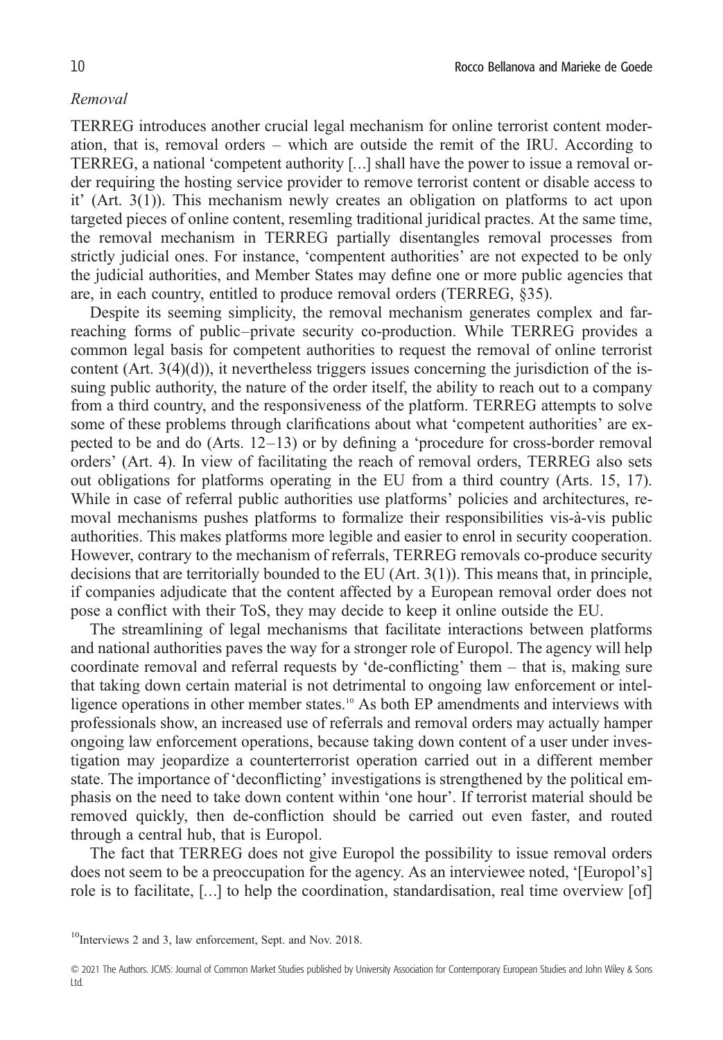#### *Removal*

TERREG introduces another crucial legal mechanism for online terrorist content moderation, that is, removal orders – which are outside the remit of the IRU. According to TERREG, a national 'competent authority […] shall have the power to issue a removal order requiring the hosting service provider to remove terrorist content or disable access to it' (Art. 3(1)). This mechanism newly creates an obligation on platforms to act upon targeted pieces of online content, resemling traditional juridical practes. At the same time, the removal mechanism in TERREG partially disentangles removal processes from strictly judicial ones. For instance, 'compentent authorities' are not expected to be only the judicial authorities, and Member States may define one or more public agencies that are, in each country, entitled to produce removal orders (TERREG, §35).

Despite its seeming simplicity, the removal mechanism generates complex and farreaching forms of public–private security co-production. While TERREG provides a common legal basis for competent authorities to request the removal of online terrorist content  $(Art. 3(4)(d))$ , it nevertheless triggers issues concerning the jurisdiction of the issuing public authority, the nature of the order itself, the ability to reach out to a company from a third country, and the responsiveness of the platform. TERREG attempts to solve some of these problems through clarifications about what 'competent authorities' are expected to be and do (Arts. 12–13) or by defining a 'procedure for cross-border removal orders' (Art. 4). In view of facilitating the reach of removal orders, TERREG also sets out obligations for platforms operating in the EU from a third country (Arts. 15, 17). While in case of referral public authorities use platforms' policies and architectures, removal mechanisms pushes platforms to formalize their responsibilities vis-à-vis public authorities. This makes platforms more legible and easier to enrol in security cooperation. However, contrary to the mechanism of referrals, TERREG removals co-produce security decisions that are territorially bounded to the EU (Art. 3(1)). This means that, in principle, if companies adjudicate that the content affected by a European removal order does not pose a conflict with their ToS, they may decide to keep it online outside the EU.

The streamlining of legal mechanisms that facilitate interactions between platforms and national authorities paves the way for a stronger role of Europol. The agency will help coordinate removal and referral requests by 'de-conflicting' them – that is, making sure that taking down certain material is not detrimental to ongoing law enforcement or intelligence operations in other member states.<sup>10</sup> As both EP amendments and interviews with professionals show, an increased use of referrals and removal orders may actually hamper ongoing law enforcement operations, because taking down content of a user under investigation may jeopardize a counterterrorist operation carried out in a different member state. The importance of 'deconflicting' investigations is strengthened by the political emphasis on the need to take down content within 'one hour'. If terrorist material should be removed quickly, then de-confliction should be carried out even faster, and routed through a central hub, that is Europol.

The fact that TERREG does not give Europol the possibility to issue removal orders does not seem to be a preoccupation for the agency. As an interviewee noted, '[Europol's] role is to facilitate, […] to help the coordination, standardisation, real time overview [of]

<sup>10</sup>Interviews 2 and 3, law enforcement, Sept. and Nov. 2018.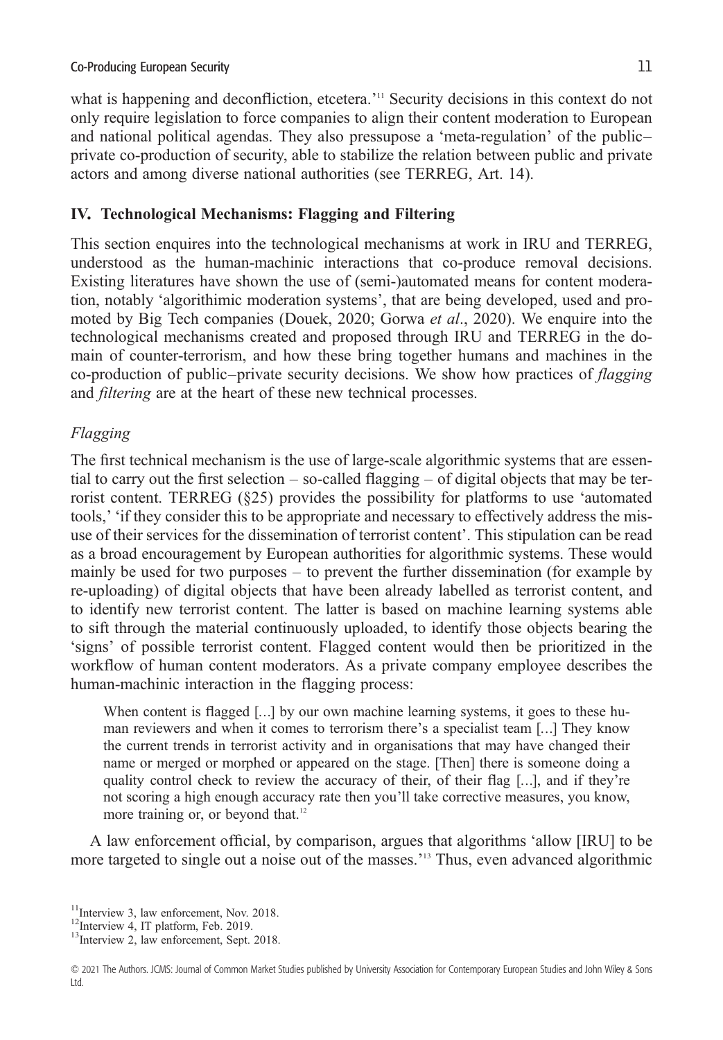what is happening and deconfliction, etcetera.' <sup>11</sup> Security decisions in this context do not only require legislation to force companies to align their content moderation to European and national political agendas. They also pressupose a 'meta-regulation' of the public– private co-production of security, able to stabilize the relation between public and private actors and among diverse national authorities (see TERREG, Art. 14).

## **IV. Technological Mechanisms: Flagging and Filtering**

This section enquires into the technological mechanisms at work in IRU and TERREG, understood as the human-machinic interactions that co-produce removal decisions. Existing literatures have shown the use of (semi-)automated means for content moderation, notably 'algorithimic moderation systems', that are being developed, used and promoted by Big Tech companies (Douek, 2020; Gorwa *et al*., 2020). We enquire into the technological mechanisms created and proposed through IRU and TERREG in the domain of counter-terrorism, and how these bring together humans and machines in the co-production of public–private security decisions. We show how practices of *flagging* and *filtering* are at the heart of these new technical processes.

## *Flagging*

The first technical mechanism is the use of large-scale algorithmic systems that are essential to carry out the first selection  $-$  so-called flagging  $-$  of digital objects that may be terrorist content. TERREG (§25) provides the possibility for platforms to use 'automated tools,' 'if they consider this to be appropriate and necessary to effectively address the misuse of their services for the dissemination of terrorist content'. This stipulation can be read as a broad encouragement by European authorities for algorithmic systems. These would mainly be used for two purposes – to prevent the further dissemination (for example by re-uploading) of digital objects that have been already labelled as terrorist content, and to identify new terrorist content. The latter is based on machine learning systems able to sift through the material continuously uploaded, to identify those objects bearing the 'signs' of possible terrorist content. Flagged content would then be prioritized in the workflow of human content moderators. As a private company employee describes the human-machinic interaction in the flagging process:

When content is flagged [...] by our own machine learning systems, it goes to these human reviewers and when it comes to terrorism there's a specialist team […] They know the current trends in terrorist activity and in organisations that may have changed their name or merged or morphed or appeared on the stage. [Then] there is someone doing a quality control check to review the accuracy of their, of their flag […], and if they're not scoring a high enough accuracy rate then you'll take corrective measures, you know, more training or, or beyond that.<sup>12</sup>

A law enforcement official, by comparison, argues that algorithms 'allow [IRU] to be more targeted to single out a noise out of the masses.' <sup>13</sup> Thus, even advanced algorithmic

<sup>&</sup>lt;sup>11</sup>Interview 3, law enforcement, Nov. 2018. <sup>12</sup>Interview 4, IT platform, Feb. 2019. <sup>13</sup>Interview 2, law enforcement, Sept. 2018.

<sup>© 2021</sup> The Authors. JCMS: Journal of Common Market Studies published by University Association for Contemporary European Studies and John Wiley & Sons Ltd.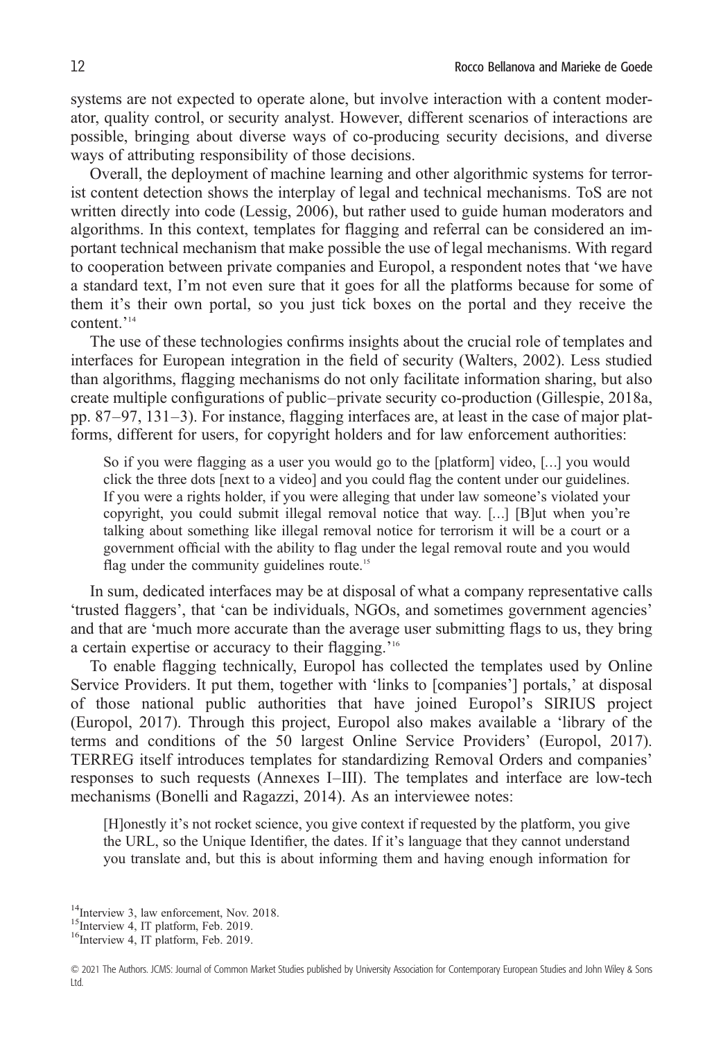systems are not expected to operate alone, but involve interaction with a content moderator, quality control, or security analyst. However, different scenarios of interactions are possible, bringing about diverse ways of co-producing security decisions, and diverse ways of attributing responsibility of those decisions.

Overall, the deployment of machine learning and other algorithmic systems for terrorist content detection shows the interplay of legal and technical mechanisms. ToS are not written directly into code (Lessig, 2006), but rather used to guide human moderators and algorithms. In this context, templates for flagging and referral can be considered an important technical mechanism that make possible the use of legal mechanisms. With regard to cooperation between private companies and Europol, a respondent notes that 'we have a standard text, I'm not even sure that it goes for all the platforms because for some of them it's their own portal, so you just tick boxes on the portal and they receive the content.' 14

The use of these technologies confirms insights about the crucial role of templates and interfaces for European integration in the field of security (Walters, 2002). Less studied than algorithms, flagging mechanisms do not only facilitate information sharing, but also create multiple configurations of public–private security co-production (Gillespie, 2018a, pp. 87–97, 131–3). For instance, flagging interfaces are, at least in the case of major platforms, different for users, for copyright holders and for law enforcement authorities:

So if you were flagging as a user you would go to the [platform] video, […] you would click the three dots [next to a video] and you could flag the content under our guidelines. If you were a rights holder, if you were alleging that under law someone's violated your copyright, you could submit illegal removal notice that way. […] [B]ut when you're talking about something like illegal removal notice for terrorism it will be a court or a government official with the ability to flag under the legal removal route and you would flag under the community guidelines route.<sup>15</sup>

In sum, dedicated interfaces may be at disposal of what a company representative calls 'trusted flaggers', that 'can be individuals, NGOs, and sometimes government agencies' and that are 'much more accurate than the average user submitting flags to us, they bring a certain expertise or accuracy to their flagging.<sup>'16</sup>

To enable flagging technically, Europol has collected the templates used by Online Service Providers. It put them, together with 'links to [companies'] portals,' at disposal of those national public authorities that have joined Europol's SIRIUS project (Europol, 2017). Through this project, Europol also makes available a 'library of the terms and conditions of the 50 largest Online Service Providers' (Europol, 2017). TERREG itself introduces templates for standardizing Removal Orders and companies' responses to such requests (Annexes I–III). The templates and interface are low-tech mechanisms (Bonelli and Ragazzi, 2014). As an interviewee notes:

[H]onestly it's not rocket science, you give context if requested by the platform, you give the URL, so the Unique Identifier, the dates. If it's language that they cannot understand you translate and, but this is about informing them and having enough information for

<sup>&</sup>lt;sup>14</sup>Interview 3, law enforcement, Nov. 2018.<br><sup>15</sup>Interview 4, IT platform, Feb. 2019.<br><sup>16</sup>Interview 4, IT platform, Feb. 2019.

<sup>© 2021</sup> The Authors. JCMS: Journal of Common Market Studies published by University Association for Contemporary European Studies and John Wiley & Sons Ltd.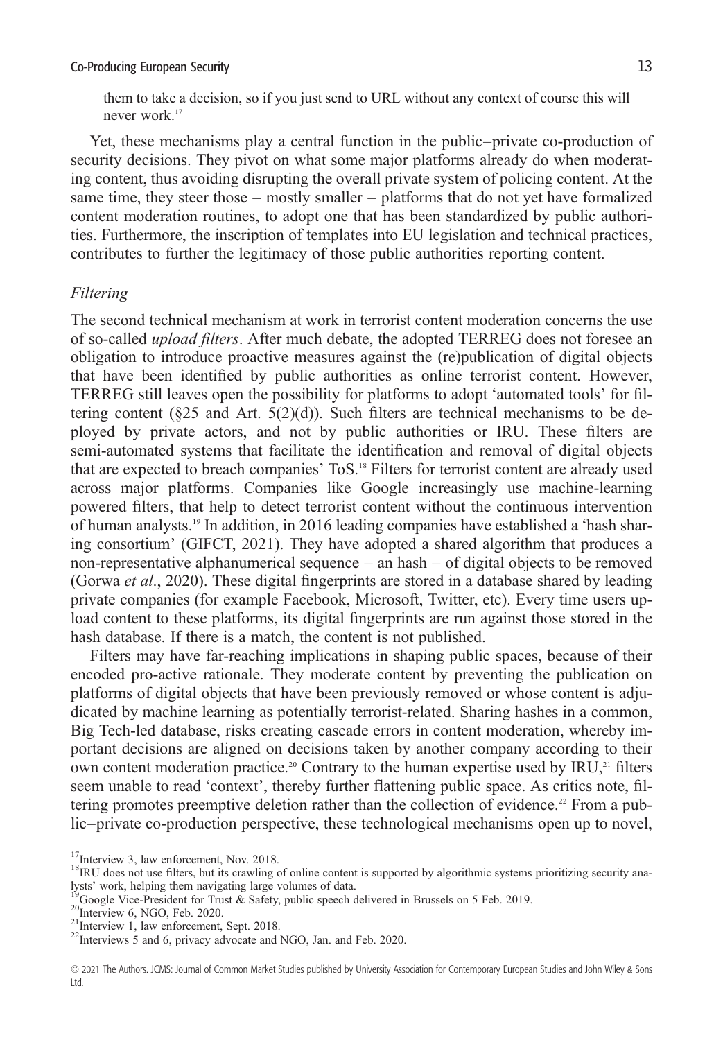them to take a decision, so if you just send to URL without any context of course this will never work.<sup>17</sup>

Yet, these mechanisms play a central function in the public–private co-production of security decisions. They pivot on what some major platforms already do when moderating content, thus avoiding disrupting the overall private system of policing content. At the same time, they steer those – mostly smaller – platforms that do not yet have formalized content moderation routines, to adopt one that has been standardized by public authorities. Furthermore, the inscription of templates into EU legislation and technical practices, contributes to further the legitimacy of those public authorities reporting content.

#### *Filtering*

The second technical mechanism at work in terrorist content moderation concerns the use of so-called *upload filters*. After much debate, the adopted TERREG does not foresee an obligation to introduce proactive measures against the (re)publication of digital objects that have been identified by public authorities as online terrorist content. However, TERREG still leaves open the possibility for platforms to adopt 'automated tools' for filtering content ( $\S$ 25 and Art.  $5(2)(d)$ ). Such filters are technical mechanisms to be deployed by private actors, and not by public authorities or IRU. These filters are semi-automated systems that facilitate the identification and removal of digital objects that are expected to breach companies' ToS.18 Filters for terrorist content are already used across major platforms. Companies like Google increasingly use machine-learning powered filters, that help to detect terrorist content without the continuous intervention of human analysts.19 In addition, in 2016 leading companies have established a 'hash sharing consortium' (GIFCT, 2021). They have adopted a shared algorithm that produces a non-representative alphanumerical sequence – an hash – of digital objects to be removed (Gorwa *et al*., 2020). These digital fingerprints are stored in a database shared by leading private companies (for example Facebook, Microsoft, Twitter, etc). Every time users upload content to these platforms, its digital fingerprints are run against those stored in the hash database. If there is a match, the content is not published.

Filters may have far-reaching implications in shaping public spaces, because of their encoded pro-active rationale. They moderate content by preventing the publication on platforms of digital objects that have been previously removed or whose content is adjudicated by machine learning as potentially terrorist-related. Sharing hashes in a common, Big Tech-led database, risks creating cascade errors in content moderation, whereby important decisions are aligned on decisions taken by another company according to their own content moderation practice.<sup>20</sup> Contrary to the human expertise used by  $IRU<sub>c</sub><sup>21</sup>$  filters seem unable to read 'context', thereby further flattening public space. As critics note, filtering promotes preemptive deletion rather than the collection of evidence.<sup>22</sup> From a public–private co-production perspective, these technological mechanisms open up to novel,

<sup>&</sup>lt;sup>17</sup>Interview 3, law enforcement, Nov. 2018.<br><sup>18</sup>IRU does not use filters, but its crawling of online content is supported by algorithmic systems prioritizing security analysts' work, helping them navigating large volumes of data.<br>
<sup>19</sup>Google Vice-President for Trust & Safety, public speech delivered in Brussels on 5 Feb. 2019.<br>
<sup>20</sup>Interview 6, NGO, Feb. 2020.<br>
<sup>21</sup>Interview 1, law enforc

<sup>© 2021</sup> The Authors. JCMS: Journal of Common Market Studies published by University Association for Contemporary European Studies and John Wiley & Sons Ltd.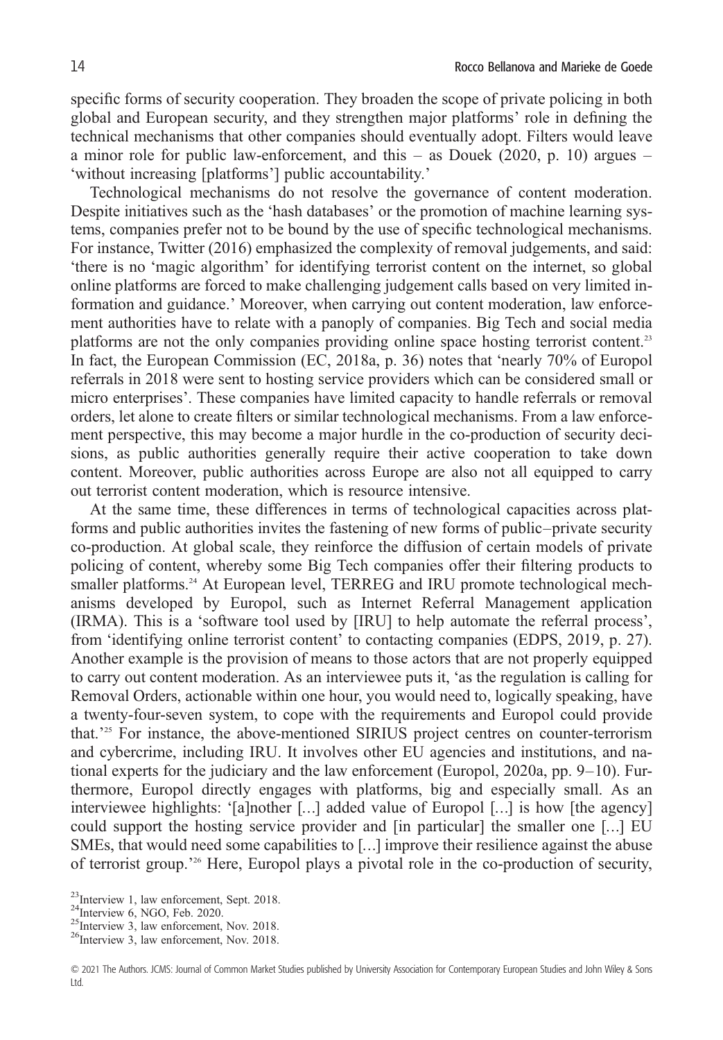specific forms of security cooperation. They broaden the scope of private policing in both global and European security, and they strengthen major platforms' role in defining the technical mechanisms that other companies should eventually adopt. Filters would leave a minor role for public law-enforcement, and this  $-$  as Douek (2020, p. 10) argues  $-$ 'without increasing [platforms'] public accountability.'

Technological mechanisms do not resolve the governance of content moderation. Despite initiatives such as the 'hash databases' or the promotion of machine learning systems, companies prefer not to be bound by the use of specific technological mechanisms. For instance, Twitter (2016) emphasized the complexity of removal judgements, and said: 'there is no 'magic algorithm' for identifying terrorist content on the internet, so global online platforms are forced to make challenging judgement calls based on very limited information and guidance.' Moreover, when carrying out content moderation, law enforcement authorities have to relate with a panoply of companies. Big Tech and social media platforms are not the only companies providing online space hosting terrorist content.<sup>23</sup> In fact, the European Commission (EC, 2018a, p. 36) notes that 'nearly 70% of Europol referrals in 2018 were sent to hosting service providers which can be considered small or micro enterprises'. These companies have limited capacity to handle referrals or removal orders, let alone to create filters or similar technological mechanisms. From a law enforcement perspective, this may become a major hurdle in the co-production of security decisions, as public authorities generally require their active cooperation to take down content. Moreover, public authorities across Europe are also not all equipped to carry out terrorist content moderation, which is resource intensive.

At the same time, these differences in terms of technological capacities across platforms and public authorities invites the fastening of new forms of public–private security co-production. At global scale, they reinforce the diffusion of certain models of private policing of content, whereby some Big Tech companies offer their filtering products to smaller platforms.<sup>24</sup> At European level, TERREG and IRU promote technological mechanisms developed by Europol, such as Internet Referral Management application (IRMA). This is a 'software tool used by [IRU] to help automate the referral process', from 'identifying online terrorist content' to contacting companies (EDPS, 2019, p. 27). Another example is the provision of means to those actors that are not properly equipped to carry out content moderation. As an interviewee puts it, 'as the regulation is calling for Removal Orders, actionable within one hour, you would need to, logically speaking, have a twenty-four-seven system, to cope with the requirements and Europol could provide that.' <sup>25</sup> For instance, the above-mentioned SIRIUS project centres on counter-terrorism and cybercrime, including IRU. It involves other EU agencies and institutions, and national experts for the judiciary and the law enforcement (Europol, 2020a, pp. 9–10). Furthermore, Europol directly engages with platforms, big and especially small. As an interviewee highlights: '[a]nother […] added value of Europol […] is how [the agency] could support the hosting service provider and [in particular] the smaller one […] EU SMEs, that would need some capabilities to […] improve their resilience against the abuse of terrorist group.' <sup>26</sup> Here, Europol plays a pivotal role in the co-production of security,

<sup>&</sup>lt;sup>23</sup>Interview 1, law enforcement, Sept. 2018.<br><sup>24</sup>Interview 6, NGO, Feb. 2020.<br><sup>25</sup>Interview 3, law enforcement, Nov. 2018.<br><sup>26</sup>Interview 3, law enforcement, Nov. 2018.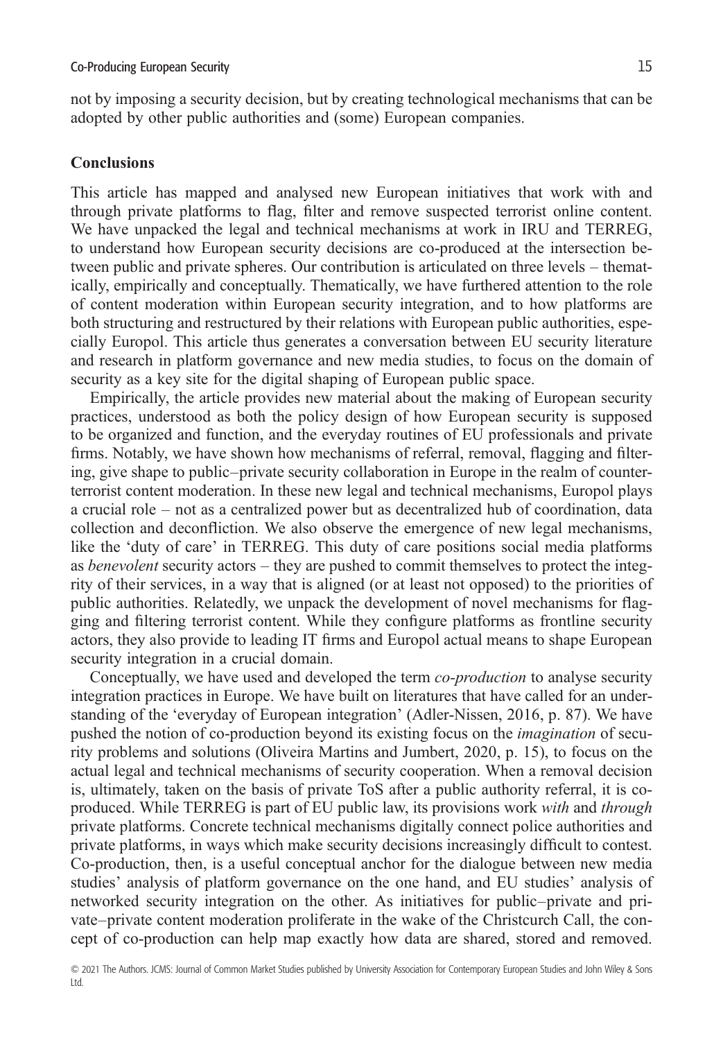not by imposing a security decision, but by creating technological mechanisms that can be adopted by other public authorities and (some) European companies.

#### **Conclusions**

This article has mapped and analysed new European initiatives that work with and through private platforms to flag, filter and remove suspected terrorist online content. We have unpacked the legal and technical mechanisms at work in IRU and TERREG, to understand how European security decisions are co-produced at the intersection between public and private spheres. Our contribution is articulated on three levels – thematically, empirically and conceptually. Thematically, we have furthered attention to the role of content moderation within European security integration, and to how platforms are both structuring and restructured by their relations with European public authorities, especially Europol. This article thus generates a conversation between EU security literature and research in platform governance and new media studies, to focus on the domain of security as a key site for the digital shaping of European public space.

Empirically, the article provides new material about the making of European security practices, understood as both the policy design of how European security is supposed to be organized and function, and the everyday routines of EU professionals and private firms. Notably, we have shown how mechanisms of referral, removal, flagging and filtering, give shape to public–private security collaboration in Europe in the realm of counterterrorist content moderation. In these new legal and technical mechanisms, Europol plays a crucial role – not as a centralized power but as decentralized hub of coordination, data collection and deconfliction. We also observe the emergence of new legal mechanisms, like the 'duty of care' in TERREG. This duty of care positions social media platforms as *benevolent* security actors – they are pushed to commit themselves to protect the integrity of their services, in a way that is aligned (or at least not opposed) to the priorities of public authorities. Relatedly, we unpack the development of novel mechanisms for flagging and filtering terrorist content. While they configure platforms as frontline security actors, they also provide to leading IT firms and Europol actual means to shape European security integration in a crucial domain.

Conceptually, we have used and developed the term *co-production* to analyse security integration practices in Europe. We have built on literatures that have called for an understanding of the 'everyday of European integration' (Adler-Nissen, 2016, p. 87). We have pushed the notion of co-production beyond its existing focus on the *imagination* of security problems and solutions (Oliveira Martins and Jumbert, 2020, p. 15), to focus on the actual legal and technical mechanisms of security cooperation. When a removal decision is, ultimately, taken on the basis of private ToS after a public authority referral, it is coproduced. While TERREG is part of EU public law, its provisions work *with* and *through* private platforms. Concrete technical mechanisms digitally connect police authorities and private platforms, in ways which make security decisions increasingly difficult to contest. Co-production, then, is a useful conceptual anchor for the dialogue between new media studies' analysis of platform governance on the one hand, and EU studies' analysis of networked security integration on the other. As initiatives for public–private and private–private content moderation proliferate in the wake of the Christcurch Call, the concept of co-production can help map exactly how data are shared, stored and removed.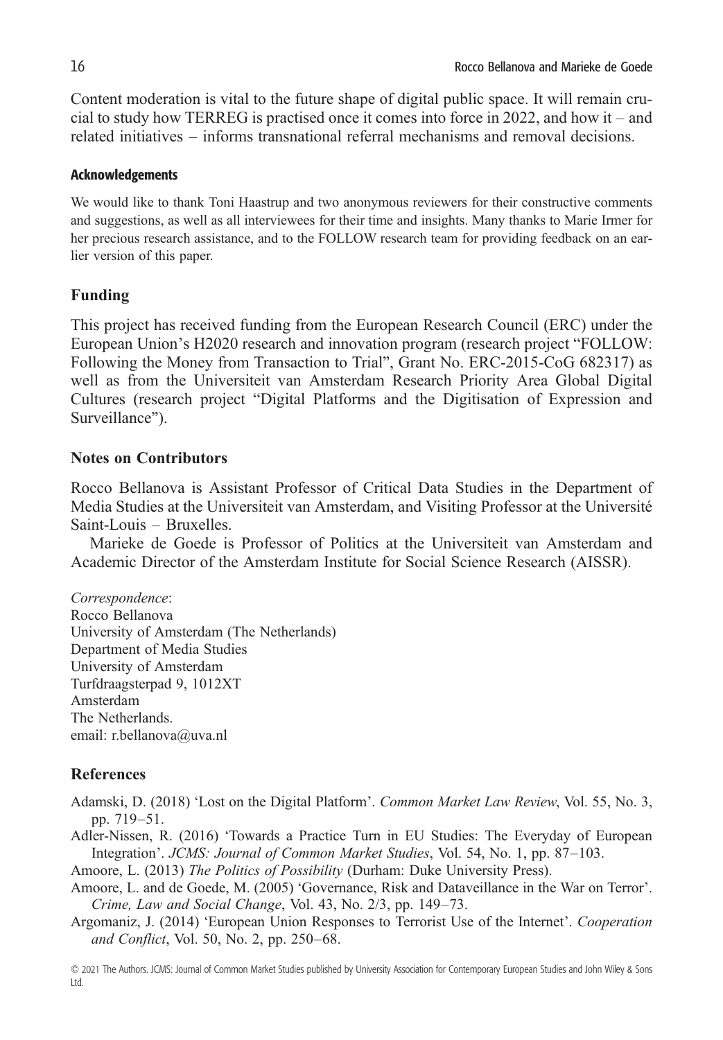Content moderation is vital to the future shape of digital public space. It will remain crucial to study how TERREG is practised once it comes into force in 2022, and how it – and related initiatives – informs transnational referral mechanisms and removal decisions.

#### Acknowledgements

We would like to thank Toni Haastrup and two anonymous reviewers for their constructive comments and suggestions, as well as all interviewees for their time and insights. Many thanks to Marie Irmer for her precious research assistance, and to the FOLLOW research team for providing feedback on an earlier version of this paper.

### **Funding**

This project has received funding from the European Research Council (ERC) under the European Union's H2020 research and innovation program (research project "FOLLOW: Following the Money from Transaction to Trial", Grant No. ERC-2015-CoG 682317) as well as from the Universiteit van Amsterdam Research Priority Area Global Digital Cultures (research project "Digital Platforms and the Digitisation of Expression and Surveillance").

#### **Notes on Contributors**

Rocco Bellanova is Assistant Professor of Critical Data Studies in the Department of Media Studies at the Universiteit van Amsterdam, and Visiting Professor at the Université Saint-Louis – Bruxelles.

Marieke de Goede is Professor of Politics at the Universiteit van Amsterdam and Academic Director of the Amsterdam Institute for Social Science Research (AISSR).

*Correspondence*: Rocco Bellanova University of Amsterdam (The Netherlands) Department of Media Studies University of Amsterdam Turfdraagsterpad 9, 1012XT Amsterdam The Netherlands. email: [r.bellanova@uva.nl](mailto:r.bellanova@uva.nl)

## **References**

Adamski, D. (2018) 'Lost on the Digital Platform'. *Common Market Law Review*, Vol. 55, No. 3, pp. 719–51.

Adler-Nissen, R. (2016) 'Towards a Practice Turn in EU Studies: The Everyday of European Integration'. *JCMS: Journal of Common Market Studies*, Vol. 54, No. 1, pp. 87–103.

Amoore, L. (2013) *The Politics of Possibility* (Durham: Duke University Press).

- Amoore, L. and de Goede, M. (2005) 'Governance, Risk and Dataveillance in the War on Terror'. *Crime, Law and Social Change*, Vol. 43, No. 2/3, pp. 149–73.
- Argomaniz, J. (2014) 'European Union Responses to Terrorist Use of the Internet'. *Cooperation and Conflict*, Vol. 50, No. 2, pp. 250–68.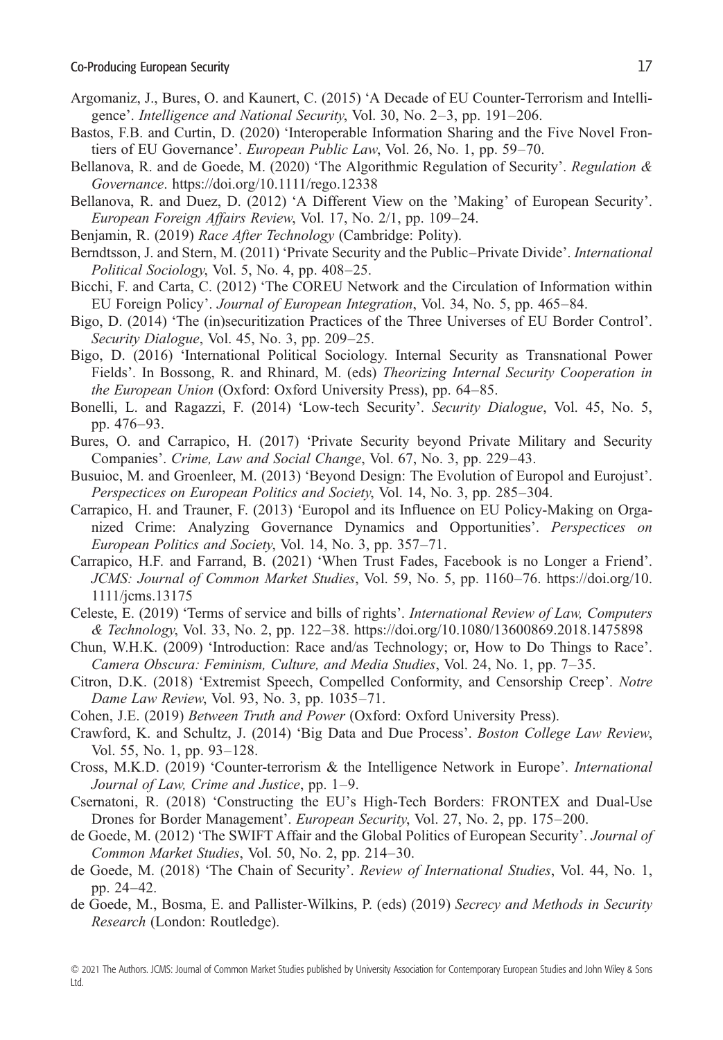- Argomaniz, J., Bures, O. and Kaunert, C. (2015) 'A Decade of EU Counter-Terrorism and Intelligence'. *Intelligence and National Security*, Vol. 30, No. 2–3, pp. 191–206.
- Bastos, F.B. and Curtin, D. (2020) 'Interoperable Information Sharing and the Five Novel Frontiers of EU Governance'. *European Public Law*, Vol. 26, No. 1, pp. 59–70.
- Bellanova, R. and de Goede, M. (2020) 'The Algorithmic Regulation of Security'. *Regulation & Governance*.<https://doi.org/10.1111/rego.12338>
- Bellanova, R. and Duez, D. (2012) 'A Different View on the 'Making' of European Security'. *European Foreign Affairs Review*, Vol. 17, No. 2/1, pp. 109–24.
- Benjamin, R. (2019) *Race After Technology* (Cambridge: Polity).
- Berndtsson, J. and Stern, M. (2011) 'Private Security and the Public–Private Divide'. *International Political Sociology*, Vol. 5, No. 4, pp. 408–25.
- Bicchi, F. and Carta, C. (2012) 'The COREU Network and the Circulation of Information within EU Foreign Policy'. *Journal of European Integration*, Vol. 34, No. 5, pp. 465–84.
- Bigo, D. (2014) 'The (in)securitization Practices of the Three Universes of EU Border Control'. *Security Dialogue*, Vol. 45, No. 3, pp. 209–25.
- Bigo, D. (2016) 'International Political Sociology. Internal Security as Transnational Power Fields'. In Bossong, R. and Rhinard, M. (eds) *Theorizing Internal Security Cooperation in the European Union* (Oxford: Oxford University Press), pp. 64–85.
- Bonelli, L. and Ragazzi, F. (2014) 'Low-tech Security'. *Security Dialogue*, Vol. 45, No. 5, pp. 476–93.
- Bures, O. and Carrapico, H. (2017) 'Private Security beyond Private Military and Security Companies'. *Crime, Law and Social Change*, Vol. 67, No. 3, pp. 229–43.
- Busuioc, M. and Groenleer, M. (2013) 'Beyond Design: The Evolution of Europol and Eurojust'. *Perspectices on European Politics and Society*, Vol. 14, No. 3, pp. 285–304.
- Carrapico, H. and Trauner, F. (2013) 'Europol and its Influence on EU Policy-Making on Organized Crime: Analyzing Governance Dynamics and Opportunities'. *Perspectices on European Politics and Society*, Vol. 14, No. 3, pp. 357–71.
- Carrapico, H.F. and Farrand, B. (2021) 'When Trust Fades, Facebook is no Longer a Friend'. *JCMS: Journal of Common Market Studies*, Vol. 59, No. 5, pp. 1160–76. [https://doi.org/10.](https://doi.org/10.1111/jcms.13175) [1111/jcms.13175](https://doi.org/10.1111/jcms.13175)
- Celeste, E. (2019) 'Terms of service and bills of rights'. *International Review of Law, Computers & Technology*, Vol. 33, No. 2, pp. 122–38.<https://doi.org/10.1080/13600869.2018.1475898>
- Chun, W.H.K. (2009) 'Introduction: Race and/as Technology; or, How to Do Things to Race'. *Camera Obscura: Feminism, Culture, and Media Studies*, Vol. 24, No. 1, pp. 7–35.
- Citron, D.K. (2018) 'Extremist Speech, Compelled Conformity, and Censorship Creep'. *Notre Dame Law Review*, Vol. 93, No. 3, pp. 1035–71.
- Cohen, J.E. (2019) *Between Truth and Power* (Oxford: Oxford University Press).
- Crawford, K. and Schultz, J. (2014) 'Big Data and Due Process'. *Boston College Law Review*, Vol. 55, No. 1, pp. 93–128.
- Cross, M.K.D. (2019) 'Counter-terrorism & the Intelligence Network in Europe'. *International Journal of Law, Crime and Justice*, pp. 1–9.
- Csernatoni, R. (2018) 'Constructing the EU's High-Tech Borders: FRONTEX and Dual-Use Drones for Border Management'. *European Security*, Vol. 27, No. 2, pp. 175–200.
- de Goede, M. (2012) 'The SWIFT Affair and the Global Politics of European Security'. *Journal of Common Market Studies*, Vol. 50, No. 2, pp. 214–30.
- de Goede, M. (2018) 'The Chain of Security'. *Review of International Studies*, Vol. 44, No. 1, pp. 24–42.
- de Goede, M., Bosma, E. and Pallister-Wilkins, P. (eds) (2019) *Secrecy and Methods in Security Research* (London: Routledge).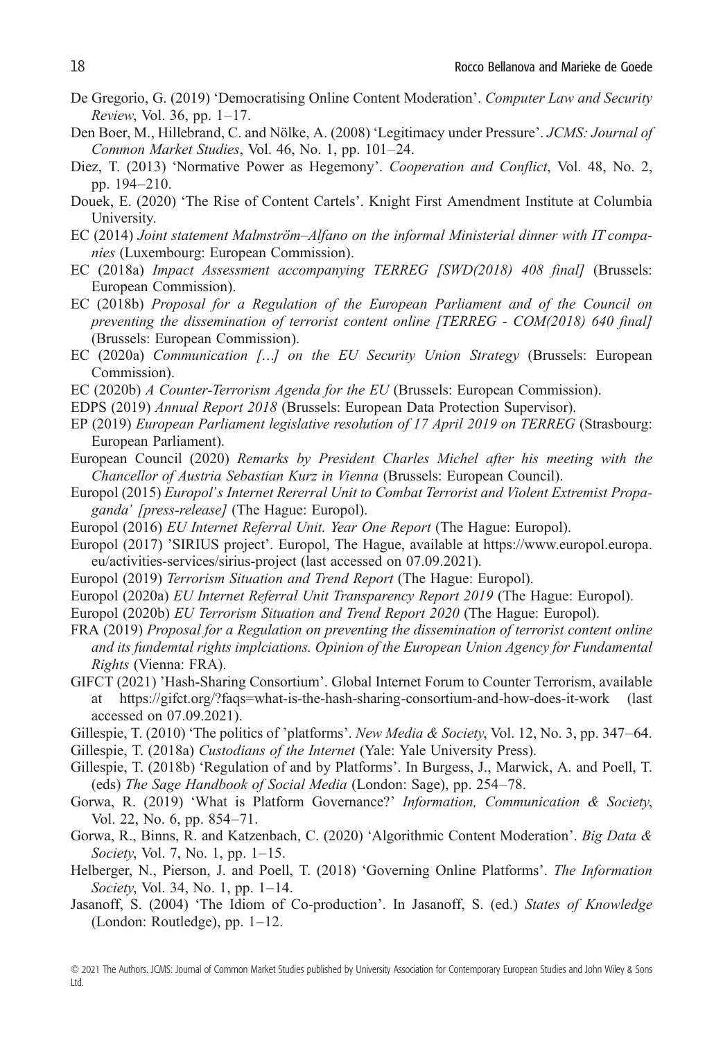- De Gregorio, G. (2019) 'Democratising Online Content Moderation'. *Computer Law and Security Review*, Vol. 36, pp. 1–17.
- Den Boer, M., Hillebrand, C. and Nölke, A. (2008) 'Legitimacy under Pressure'. *JCMS: Journal of Common Market Studies*, Vol. 46, No. 1, pp. 101–24.
- Diez, T. (2013) 'Normative Power as Hegemony'. *Cooperation and Conflict*, Vol. 48, No. 2, pp. 194–210.
- Douek, E. (2020) 'The Rise of Content Cartels'. Knight First Amendment Institute at Columbia University.
- EC (2014) *Joint statement Malmström–Alfano on the informal Ministerial dinner with IT companies* (Luxembourg: European Commission).
- EC (2018a) *Impact Assessment accompanying TERREG [SWD(2018) 408 final]* (Brussels: European Commission).
- EC (2018b) *Proposal for a Regulation of the European Parliament and of the Council on preventing the dissemination of terrorist content online [TERREG - COM(2018) 640 final]* (Brussels: European Commission).
- EC (2020a) *Communication […] on the EU Security Union Strategy* (Brussels: European Commission).
- EC (2020b) *A Counter-Terrorism Agenda for the EU* (Brussels: European Commission).
- EDPS (2019) *Annual Report 2018* (Brussels: European Data Protection Supervisor).
- EP (2019) *European Parliament legislative resolution of 17 April 2019 on TERREG* (Strasbourg: European Parliament).
- European Council (2020) *Remarks by President Charles Michel after his meeting with the Chancellor of Austria Sebastian Kurz in Vienna* (Brussels: European Council).
- Europol (2015) *Europol's Internet Rererral Unit to Combat Terrorist and Violent Extremist Propaganda' [press-release]* (The Hague: Europol).
- Europol (2016) *EU Internet Referral Unit. Year One Report* (The Hague: Europol).
- Europol (2017) 'SIRIUS project'. Europol, The Hague, available at [https://www.europol.europa.](https://www.europol.europa.eu/activities-services/sirius-project) [eu/activities-services/sirius-project](https://www.europol.europa.eu/activities-services/sirius-project) (last accessed on 07.09.2021).
- Europol (2019) *Terrorism Situation and Trend Report* (The Hague: Europol).
- Europol (2020a) *EU Internet Referral Unit Transparency Report 2019* (The Hague: Europol).
- Europol (2020b) *EU Terrorism Situation and Trend Report 2020* (The Hague: Europol).
- FRA (2019) *Proposal for a Regulation on preventing the dissemination of terrorist content online and its fundemtal rights implciations. Opinion of the European Union Agency for Fundamental Rights* (Vienna: FRA).
- GIFCT (2021) 'Hash-Sharing Consortium'. Global Internet Forum to Counter Terrorism, available at<https://gifct.org/?faqs=what-is-the-hash-sharing-consortium-and-how-does-it-work> (last accessed on 07.09.2021).
- Gillespie, T. (2010) 'The politics of 'platforms'. *New Media & Society*, Vol. 12, No. 3, pp. 347–64.
- Gillespie, T. (2018a) *Custodians of the Internet* (Yale: Yale University Press).
- Gillespie, T. (2018b) 'Regulation of and by Platforms'. In Burgess, J., Marwick, A. and Poell, T. (eds) *The Sage Handbook of Social Media* (London: Sage), pp. 254–78.
- Gorwa, R. (2019) 'What is Platform Governance?' *Information, Communication & Society*, Vol. 22, No. 6, pp. 854–71.
- Gorwa, R., Binns, R. and Katzenbach, C. (2020) 'Algorithmic Content Moderation'. *Big Data & Society*, Vol. 7, No. 1, pp. 1–15.
- Helberger, N., Pierson, J. and Poell, T. (2018) 'Governing Online Platforms'. *The Information Society*, Vol. 34, No. 1, pp. 1–14.
- Jasanoff, S. (2004) 'The Idiom of Co-production'. In Jasanoff, S. (ed.) *States of Knowledge* (London: Routledge), pp. 1–12.